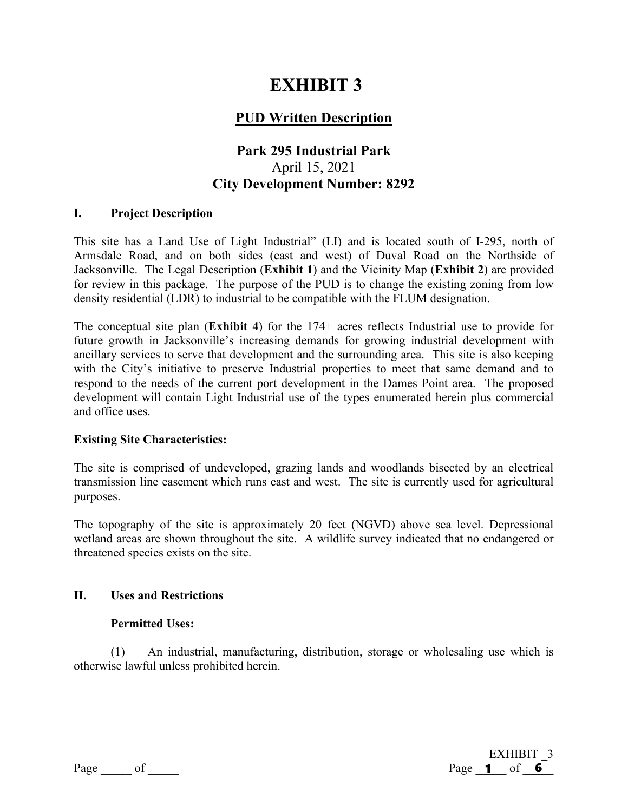# **EXHIBIT 3**

# **PUD Written Description**

# **Park 295 Industrial Park**  April 15, 2021 **City Development Number: 8292**

#### **I. Project Description**

This site has a Land Use of Light Industrial" (LI) and is located south of I-295, north of Armsdale Road, and on both sides (east and west) of Duval Road on the Northside of Jacksonville. The Legal Description (**Exhibit 1**) and the Vicinity Map (**Exhibit 2**) are provided for review in this package. The purpose of the PUD is to change the existing zoning from low density residential (LDR) to industrial to be compatible with the FLUM designation.

The conceptual site plan (**Exhibit 4**) for the 174+ acres reflects Industrial use to provide for future growth in Jacksonville's increasing demands for growing industrial development with ancillary services to serve that development and the surrounding area. This site is also keeping with the City's initiative to preserve Industrial properties to meet that same demand and to respond to the needs of the current port development in the Dames Point area. The proposed development will contain Light Industrial use of the types enumerated herein plus commercial and office uses.

#### **Existing Site Characteristics:**

The site is comprised of undeveloped, grazing lands and woodlands bisected by an electrical transmission line easement which runs east and west. The site is currently used for agricultural purposes.

The topography of the site is approximately 20 feet (NGVD) above sea level. Depressional wetland areas are shown throughout the site. A wildlife survey indicated that no endangered or threatened species exists on the site.

#### **II. Uses and Restrictions**

#### **Permitted Uses:**

(1) An industrial, manufacturing, distribution, storage or wholesaling use which is otherwise lawful unless prohibited herein.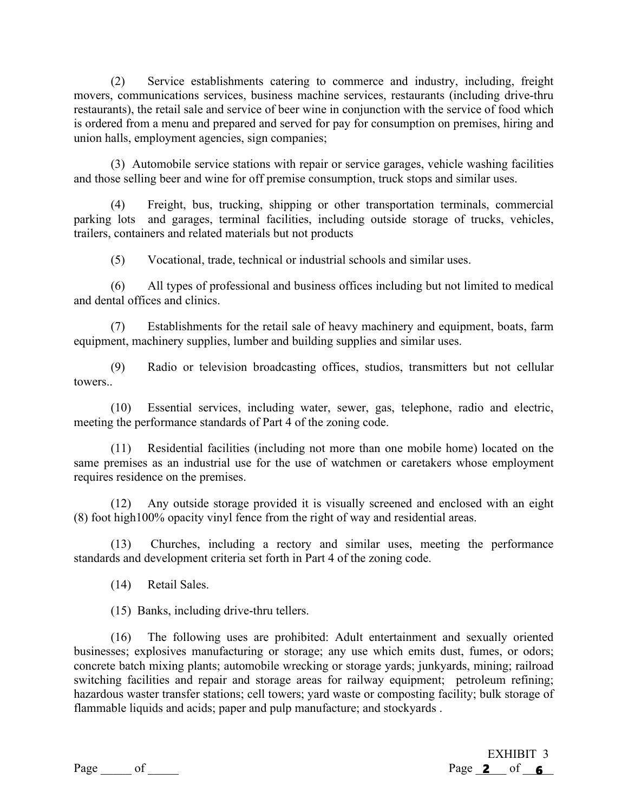(2) Service establishments catering to commerce and industry, including, freight movers, communications services, business machine services, restaurants (including drive-thru restaurants), the retail sale and service of beer wine in conjunction with the service of food which is ordered from a menu and prepared and served for pay for consumption on premises, hiring and union halls, employment agencies, sign companies;

(3) Automobile service stations with repair or service garages, vehicle washing facilities and those selling beer and wine for off premise consumption, truck stops and similar uses.

(4) Freight, bus, trucking, shipping or other transportation terminals, commercial parking lots and garages, terminal facilities, including outside storage of trucks, vehicles, trailers, containers and related materials but not products

(5) Vocational, trade, technical or industrial schools and similar uses.

(6) All types of professional and business offices including but not limited to medical and dental offices and clinics.

(7) Establishments for the retail sale of heavy machinery and equipment, boats, farm equipment, machinery supplies, lumber and building supplies and similar uses.

(9) Radio or television broadcasting offices, studios, transmitters but not cellular towers..

(10) Essential services, including water, sewer, gas, telephone, radio and electric, meeting the performance standards of Part 4 of the zoning code.

(11) Residential facilities (including not more than one mobile home) located on the same premises as an industrial use for the use of watchmen or caretakers whose employment requires residence on the premises.

(12) Any outside storage provided it is visually screened and enclosed with an eight (8) foot high100% opacity vinyl fence from the right of way and residential areas.

(13) Churches, including a rectory and similar uses, meeting the performance standards and development criteria set forth in Part 4 of the zoning code.

(14) Retail Sales.

(15) Banks, including drive-thru tellers.

(16) The following uses are prohibited: Adult entertainment and sexually oriented businesses; explosives manufacturing or storage; any use which emits dust, fumes, or odors; concrete batch mixing plants; automobile wrecking or storage yards; junkyards, mining; railroad switching facilities and repair and storage areas for railway equipment; petroleum refining; hazardous waster transfer stations; cell towers; yard waste or composting facility; bulk storage of flammable liquids and acids; paper and pulp manufacture; and stockyards .

EXHIBIT 3  $Page \_\_\_$  of  $\_\_\_\_$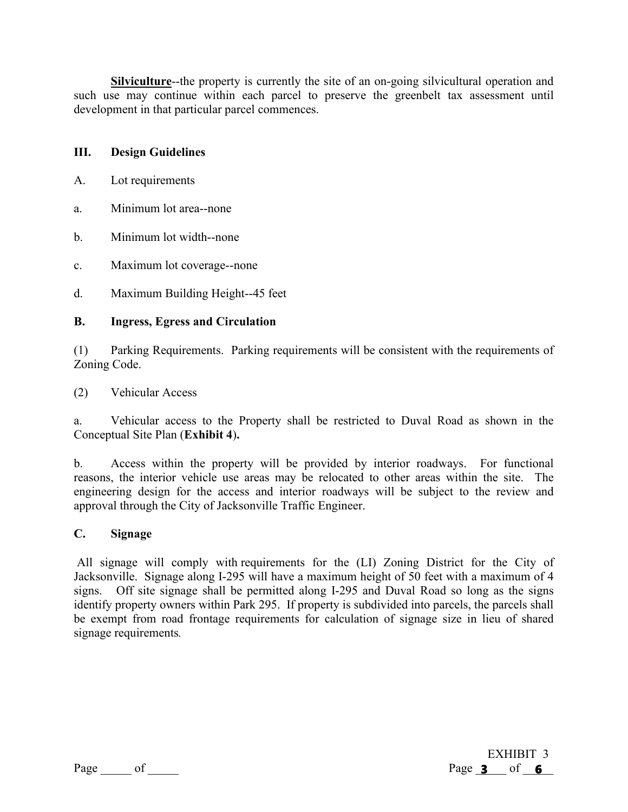**Silviculture**--the property is currently the site of an on-going silvicultural operation and such use may continue within each parcel to preserve the greenbelt tax assessment until development in that particular parcel commences.

#### **III. Design Guidelines**

- A. Lot requirements
- a. Minimum lot area--none
- b. Minimum lot width--none
- c. Maximum lot coverage--none
- d. Maximum Building Height--45 feet

#### **B. Ingress, Egress and Circulation**

(1) Parking Requirements. Parking requirements will be consistent with the requirements of Zoning Code.

(2) Vehicular Access

a. Vehicular access to the Property shall be restricted to Duval Road as shown in the Conceptual Site Plan (**Exhibit 4**)**.**

b. Access within the property will be provided by interior roadways. For functional reasons, the interior vehicle use areas may be relocated to other areas within the site. The engineering design for the access and interior roadways will be subject to the review and approval through the City of Jacksonville Traffic Engineer.

#### **C. Signage**

All signage will comply with requirements for the (LI) Zoning District for the City of Jacksonville. Signage along I-295 will have a maximum height of 50 feet with a maximum of 4 signs. Off site signage shall be permitted along I-295 and Duval Road so long as the signs identify property owners within Park 295. If property is subdivided into parcels, the parcels shall be exempt from road frontage requirements for calculation of signage size in lieu of shared signage requirements*.* 

EXHIBIT 3 Page  $3$  of 6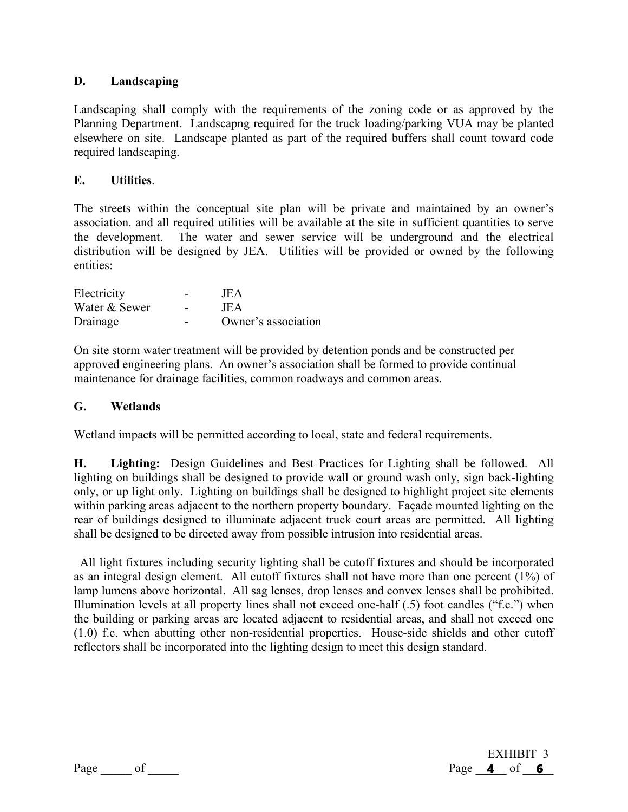#### **D. Landscaping**

Landscaping shall comply with the requirements of the zoning code or as approved by the Planning Department. Landscapng required for the truck loading/parking VUA may be planted elsewhere on site. Landscape planted as part of the required buffers shall count toward code required landscaping.

#### **E. Utilities**.

The streets within the conceptual site plan will be private and maintained by an owner's association. and all required utilities will be available at the site in sufficient quantities to serve the development. The water and sewer service will be underground and the electrical distribution will be designed by JEA. Utilities will be provided or owned by the following entities:

| Electricity   | $\overline{\phantom{0}}$ | JEA                 |
|---------------|--------------------------|---------------------|
| Water & Sewer |                          | JEA                 |
| Drainage      | -                        | Owner's association |

On site storm water treatment will be provided by detention ponds and be constructed per approved engineering plans. An owner's association shall be formed to provide continual maintenance for drainage facilities, common roadways and common areas.

#### **G. Wetlands**

Wetland impacts will be permitted according to local, state and federal requirements.

**H. Lighting:** Design Guidelines and Best Practices for Lighting shall be followed. All lighting on buildings shall be designed to provide wall or ground wash only, sign back-lighting only, or up light only. Lighting on buildings shall be designed to highlight project site elements within parking areas adjacent to the northern property boundary. Façade mounted lighting on the rear of buildings designed to illuminate adjacent truck court areas are permitted. All lighting shall be designed to be directed away from possible intrusion into residential areas.

 All light fixtures including security lighting shall be cutoff fixtures and should be incorporated as an integral design element. All cutoff fixtures shall not have more than one percent (1%) of lamp lumens above horizontal. All sag lenses, drop lenses and convex lenses shall be prohibited. Illumination levels at all property lines shall not exceed one-half (.5) foot candles ("f.c.") when the building or parking areas are located adjacent to residential areas, and shall not exceed one (1.0) f.c. when abutting other non-residential properties. House-side shields and other cutoff reflectors shall be incorporated into the lighting design to meet this design standard.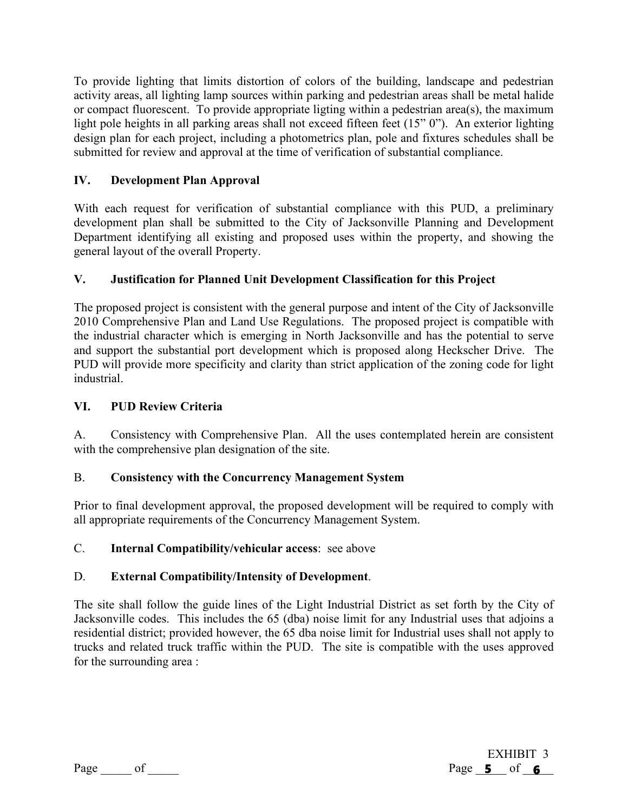To provide lighting that limits distortion of colors of the building, landscape and pedestrian activity areas, all lighting lamp sources within parking and pedestrian areas shall be metal halide or compact fluorescent. To provide appropriate ligting within a pedestrian area(s), the maximum light pole heights in all parking areas shall not exceed fifteen feet (15" 0"). An exterior lighting design plan for each project, including a photometrics plan, pole and fixtures schedules shall be submitted for review and approval at the time of verification of substantial compliance.

# **IV. Development Plan Approval**

With each request for verification of substantial compliance with this PUD, a preliminary development plan shall be submitted to the City of Jacksonville Planning and Development Department identifying all existing and proposed uses within the property, and showing the general layout of the overall Property.

## **V. Justification for Planned Unit Development Classification for this Project**

The proposed project is consistent with the general purpose and intent of the City of Jacksonville 2010 Comprehensive Plan and Land Use Regulations. The proposed project is compatible with the industrial character which is emerging in North Jacksonville and has the potential to serve and support the substantial port development which is proposed along Heckscher Drive. The PUD will provide more specificity and clarity than strict application of the zoning code for light industrial.

### **VI. PUD Review Criteria**

A. Consistency with Comprehensive Plan. All the uses contemplated herein are consistent with the comprehensive plan designation of the site.

## B. **Consistency with the Concurrency Management System**

Prior to final development approval, the proposed development will be required to comply with all appropriate requirements of the Concurrency Management System.

#### C. **Internal Compatibility/vehicular access**: see above

#### D. **External Compatibility/Intensity of Development**.

The site shall follow the guide lines of the Light Industrial District as set forth by the City of Jacksonville codes. This includes the 65 (dba) noise limit for any Industrial uses that adjoins a residential district; provided however, the 65 dba noise limit for Industrial uses shall not apply to trucks and related truck traffic within the PUD. The site is compatible with the uses approved for the surrounding area :

| റേല |  |
|-----|--|
|     |  |